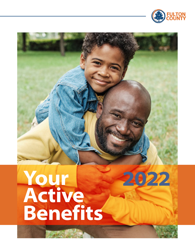

**2022**

# **Your Active Benefits**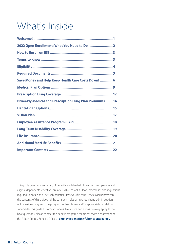# What's Inside

| 2022 Open Enrollment: What You Need to Do  2                   |  |
|----------------------------------------------------------------|--|
|                                                                |  |
|                                                                |  |
|                                                                |  |
|                                                                |  |
| Save Money and Help Keep Health Care Costs Down!  6            |  |
|                                                                |  |
|                                                                |  |
| <b>Biweekly Medical and Prescription Drug Plan Premiums 14</b> |  |
|                                                                |  |
|                                                                |  |
|                                                                |  |
|                                                                |  |
|                                                                |  |
|                                                                |  |
|                                                                |  |

This guide provides a summary of benefits available to Fulton County employees and eligible dependents, effective January 1, 2022, as well as laws, procedures and regulations required to obtain and use such benefits. However, if inconsistencies occur between the contents of this guide and the contracts, rules or laws regulating administration of the various programs, the program contract terms and/or appropriate legislation supersedes this guide. In some instances, limitations and exclusions may apply. If you have questions, please contact the benefit program's member service department or the Fulton County Benefits Office at **[employeebenefits@fultoncountyga.gov](mailto:employeebenefits@fultoncountyga.gov)**.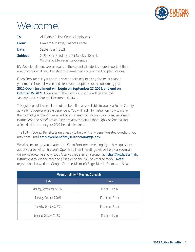

# <span id="page-2-0"></span>Welcome!

| To:      | All Eligible Fulton County Employees                                            |
|----------|---------------------------------------------------------------------------------|
| From:    | Hakeem Oshikoya, Finance Director                                               |
| Date:    | September 1, 2021                                                               |
| Subject: | 2022 Open Enrollment for Medical, Dental,<br>Vision and Life Insurance Coverage |

It's Open Enrollment season again. In the current climate, it's more important than ever to consider all your benefit options—especially your medical plan options.

Open Enrollment is your once-a-year opportunity to elect, decline or change your medical, dental, vision and life insurance options for the upcoming year. **2022 Open Enrollment will begin on September 27, 2021, and end on October 15, 2021.** Coverage for the plans you choose will be effective January 1, 2022, through December 31, 2022.

This guide provides details about the benefit plans available to you as a Fulton County active employee or eligible dependent. You will find information on how to make the most of your benefits—including a summary of key plan provisions, enrollment instructions and benefit costs. Please review this guide thoroughly before making a final decision about your 2022 benefit elections.

The Fulton County Benefits team is ready to help with any benefit-related questions you may have. Email **[employeebenefits@fultoncountyga.gov](mailto:employeebenefits@fultoncountyga.gov)**.

We also encourage you to attend an Open Enrollment meeting if you have questions about your benefits. This year's Open Enrollment meetings will be held via Zoom, an online video-conferencing tool. After you register for a session at **https://bit.ly/3Ernjvh**, instructions to join the meeting (video or phone) will be emailed to you. **Note:** registration link works in Google Chrome, Microsoft Edge, Mozilla Firefox and Safari.

| <b>Open Enrollment Meeting Schedule</b> |                    |  |  |
|-----------------------------------------|--------------------|--|--|
| <b>Date</b>                             | <b>Time</b>        |  |  |
| Monday, September 27, 2021              | 11 $a.m. - 1 p.m.$ |  |  |
| Tuesday, October 5, 2021                | 10 a.m. and 2 p.m. |  |  |
| Thursday, October 7, 2021               | 10 a.m. and 2 p.m. |  |  |
| Monday, October 11, 2021                | 11 $a.m. - 1 p.m.$ |  |  |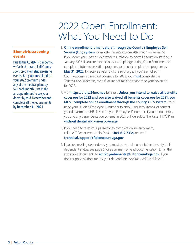### 2022 Open Enrollment: What You Need to Do

#### <span id="page-3-0"></span>Biometric screening events

Due to the COVID-19 pandemic, we've had to cancel all Countysponsored biometric screening events. But you can still reduce your 2022 premium under any of the medical plans by \$20 each month. Just make an appointment to see your doctor by **mid-December** and complete all the requirements by **December 31, 2021**.

- 1. **Online enrollment is mandatory through the County's Employee Self Service (ESS) system.** Complete the *Tobacco-Use Attestation* online in ESS. If you don't, you'll pay a \$25 biweekly surcharge by payroll deduction starting in January 2022. If you are a tobacco user and pledge during Open Enrollment to complete a tobacco cessation program, you must complete the program by **May 31, 2022**, to receive a refund of the surcharge. If you're enrolled in County-sponsored medical coverage for 2022, you **must** complete the *Tobacco-Use Attestation*, even if you're not making changes to your coverage for 2022.
- 2. Visit **<https://bit.ly/34mcmev>** to enroll. **Unless you intend to waive all benefits coverage for 2022 and you also waived all benefits coverage for 2021, you MUST complete online enrollment through the County's ESS system.** You'll need your 10-digit Employee ID number to enroll. Log in to Kronos, or contact your department's HR Liaison for your Employee ID number. If you do not enroll, you and any dependents you covered in 2021 will default to the Kaiser HMO Plan **without dental and vision coverage**.
- 3. If you need to reset your password to complete online enrollment, call the IT Department Help Desk at **404-612-7334**, or email **[technical.support@fultoncountyga.gov](mailto:technical.support%40fultoncountyga.gov?subject=)**.
- 4. If you're enrolling dependents, you must provide documentation to verify their dependent status. See [page 5](#page-6-0) for a summary of valid documentation. Email the applicable documents to **[employeebenefits@fultoncountyga.gov](mailto:employeebenefits@fultoncountyga.gov)**. If you don't supply the documents, your dependents' coverage will be delayed.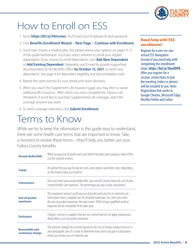

# <span id="page-4-0"></span>How to Enroll on ESS

- 1. Go to **<https://bit.ly/34mcmev>**. You'll need your Employee ID and password.
- 2. Click **Benefits Enrollment Wizard** > **Next Page** > **Continue with Enrollment**.
- 3. You'll now choose a medical plan, but please review your options on [pages 9–1](#page-10-0)1 of this guide beforehand. You'll also select whether to enroll your eligible dependents. If you choose to enroll dependents, click **Add New Dependent** or **Add Existing Dependent**. Separately, you'll need to provide supporting documentation to the Benefits Office **by October 15, 2021**, to verify new dependents. See [page 4](#page-5-0) for dependent eligibility and documentation rules.
- 4. Repeat the same process for your dental and vision elections.
- 5. When you reach the Supplement Life Insurance page, you may elect or waive additional life insurance. After which you must complete the *Tobacco-Use Attestation*. If you'd like to purchase Supplemental Life coverage, select the coverage amount you want.
- 6. To verify coverage selections, click **Submit Enrollment**.

### Terms to Know

While we try to keep the information in this guide easy to understand, there are some health care terms that are important to know. Take a moment to review these terms—they'll help you better use your Fulton County benefits.

| <b>Annual deductible</b>                  | What you pay out of pocket each year before the plan starts paying a share of the<br>cost for covered services.                                                                                                                                                                  |
|-------------------------------------------|----------------------------------------------------------------------------------------------------------------------------------------------------------------------------------------------------------------------------------------------------------------------------------|
| <b>Copay</b>                              | An upfront fee you pay for doctor visits, prescriptions and other costs, depending<br>on the medical plan you enroll in.                                                                                                                                                         |
| <b>Coinsurance</b>                        | Once you meet your annual deductible, you and the County share the cost of your<br>covered health care expenses. The percentage you pay is your coinsurance.                                                                                                                     |
| <b>Out-of-pocket</b><br>maximum           | The maximum amount you'll pay out of pocket each year for in-network care.<br>Some plans have a separate out-of-network maximum, too. Once you meet<br>the out-of-pocket maximum, the plan covers 100% of your qualified medical<br>expenses for the remainder of the plan year. |
| <b>Exclusions</b>                         | Charges, services or supplies that are not covered and do not apply toward your<br>deductible or out-of-pocket maximum.                                                                                                                                                          |
| <b>Reasonable and</b><br>customary charge | The amount charged for a service based on the cost of similar medical services in<br>your geographic area. It is used to determine how much you pay in coinsurance<br>when you receive out-of-network care.                                                                      |

#### Need help with ESS enrollment?

Register for a one-on-one virtual ESS Navigation Session if you need help with completing the enrollment steps: **<https://bit.ly/3bwXDPK>**. After you register for a session, instructions to join the meeting (video or phone) will be emailed to you. Note: Registration link works in Google Chrome, Microsoft Edge, Mozilla Firefox and Safari.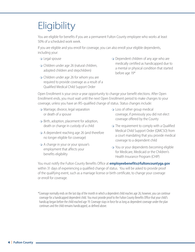# <span id="page-5-0"></span>**Eligibility**

You are eligible for benefits if you are a permanent Fulton County employee who works at least 50% of a scheduled work week.

If you are eligible and you enroll for coverage, you can also enroll your eligible dependents, including your:

- Legal spouse
- Children under age 26 (natural children, adopted children and stepchildren)
- Children under age 26 for whom you are required to provide coverage as a result of a Qualified Medical Child Support Order
- Dependent children of any age who are medically certified as handicapped due to a mental or physical condition that started before age 19\*

Open Enrollment is your once-a-year opportunity to change your benefit elections. After Open Enrollment ends, you must wait until the next Open Enrollment period to make changes to your coverage, unless you have an IRS-qualified change of status. Status changes include:

- Marriage, divorce, legal separation or death of a spouse
- o Birth, adoption, placement for adoption, death or change in custody of a child
- A dependent reaching age 26 (and therefore no longer eligible for coverage)
- $\circ$  A change in your or your spouse's employment that affects your benefits eligibility
- Loss of other group medical coverage, if previously you did not elect coverage offered by the County
- o The requirement to comply with a Qualified Medical Child Support Order (QMCSO) from a court mandating that you provide medical coverage to a dependent child
- You or your dependents becoming eligible for Medicare, Medicaid or the Children's Health Insurance Program (CHIP)

You must notify the Fulton County Benefits Office at **[employeebenefits@fultoncountyga.gov](mailto:employeebenefits%40fultoncountyga.gov?subject=)** within 31 days of experiencing a qualified change of status. You will be asked to provide proof of the qualifying event, such as a marriage license or birth certificate, to change your coverage or enroll for coverage.

\*Coverage normally ends on the last day of the month in which a dependent child reaches age 26; however, you can continue coverage for a handicapped dependent child. You must provide proof to the Fulton County Benefits Office that your child's handicap began before the child reached age 19. Coverage stays in force for as long as dependent coverage under the plan continues and the child remains handicapped, as defined above.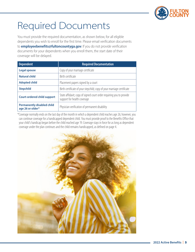

# <span id="page-6-0"></span>Required Documents

You must provide the required documentation, as shown below, for all eligible dependents you wish to enroll for the first time. Please email verification documents to **[employeebenefits@fultoncountyga.gov](mailto:employeebenefits@fultoncountyga.gov)**. If you do not provide verification documents for your dependents when you enroll them, the start date of their coverage will be delayed.

| <b>Dependent</b>                                      | <b>Required Documentation</b>                                                                       |
|-------------------------------------------------------|-----------------------------------------------------------------------------------------------------|
| <b>Legal spouse</b>                                   | Copy of your marriage certificate                                                                   |
| <b>Natural child</b>                                  | Birth certificate                                                                                   |
| <b>Adopted child</b>                                  | Placement papers signed by a court                                                                  |
| <b>Stepchild</b>                                      | Birth certificate of your stepchild; copy of your marriage certificate                              |
| <b>Court-ordered child support</b>                    | State affidavit; copy of signed court order requiring you to provide<br>support for health coverage |
| <b>Permanently disabled child</b><br>age 26 or older* | Physician verification of permanent disability                                                      |

\*Coverage normally ends on the last day of the month in which a dependent child reaches age 26; however, you can continue coverage for a handicapped dependent child. You must provide proof to the Benefits Office that your child's handicap began before the child reached age 19. Coverage stays in force for as long as dependent coverage under the plan continues and the child remains handicapped, as defined on [page 4](#page-5-0).

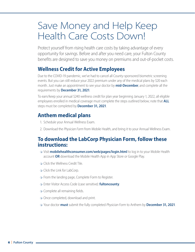### <span id="page-7-0"></span>Save Money and Help Keep Health Care Costs Down!

Protect yourself from rising health care costs by taking advantage of every opportunity for savings. Before and after you need care, your Fulton County benefits are designed to save you money on premiums and out-of-pocket costs.

#### **Wellness Credit for Active Employees**

Due to the COVID-19 pandemic, we've had to cancel all County-sponsored biometric screening events. But you can still reduce your 2022 premium under any of the medical plans by \$20 each month. Just make an appointment to see your doctor by **mid-December**, and complete all the requirements by **December 31, 2021**.

To earn/keep your annual \$240 wellness credit for plan year beginning January 1, 2022, all eligible employees enrolled in medical coverage must complete the steps outlined below; note that **ALL** steps must be completed by **December 31, 2021**.

### **Anthem medical plans**

- 1. Schedule your Annual Wellness Exam.
- 2. Download the *Physician Form* from Mobile Health, and bring it to your Annual Wellness Exam.

#### **To download the LabCorp Physician Form, follow these instructions:**

- Visit **[mobilehealthconsumer.com/web/pages/login.html](https://www.mobilehealthconsumer.com/web/pages/login.html)** to log in to your Mobile Health account **OR** download the Mobile Health App in App Store or Google Play.
- Click the Wellness Credit Tile.
- Click the Link for LabCorp.
- o From the landing page, Complete Form to Register.
- Enter Visitor Access Code (case sensitive): **fultoncounty**.
- o Complete all remaining fields.
- o Once completed, download and print.
- Your doctor **must** submit the fully completed *Physician Form* to Anthem by **December 31, 2021**.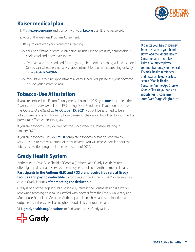

#### **Kaiser medical plan**

- 1. Visit **[kp.org/engage](http://kp.org/engage)** and sign on with your **[kp.org](http://kp.org)** user ID and password.
- 2. Accept the Wellness Program Agreement.
- 3. Be up to date with your biometric screening:
	- Your non-fasting biometric screening includes: blood pressure, hemoglobin A1C, cholesterol and body mass index.
	- If you are already scheduled for a physical, a biometric screening will be included. Or you can schedule a nurse visit appointment for biometric screening only, by calling **404-365-0966**.
	- If you have a routine appointment already scheduled, please ask your doctor to include your biometric labs.

#### **Tobacco-Use Attestation**

If you are enrolled in a Fulton County medical plan for 2022, you **must** complete the *Tobacco-Use Attestation* online in ESS during Open Enrollment. If you don't complete the *Tobacco-Use Attestation* **by October 15, 2021**, you will be assumed to be a tobacco user, and a \$25 biweekly tobacco-use surcharge will be added to your medical premiums effective January 1, 2022.

If you are a tobacco user, you will pay the \$25 biweekly surcharge starting in January 2022.

If you are a tobacco user, you **must** complete a tobacco cessation program by May 31, 2022, to receive a refund of the surcharge. You will receive details about the tobacco cessation program in the first quarter of 2022.

#### **Grady Health System**

Anthem Blue Cross Blue Shield of Georgia (Anthem) and Grady Health System offer high-quality health services to employees enrolled in Anthem medical plans. **Participants in the Anthem HMO and POS plans receive free care at Grady facilities and pay no deductible!** Participants in the Anthem HSA Plan receive free care at Grady facilities **after meeting the deductible**.

Grady is one of the largest public hospital systems in the Southeast and is a worldrenowned teaching hospital. It's staffed with doctors from the Emory University and Morehouse Schools of Medicine. Anthem participants have access to inpatient and outpatient services, as well as neighborhood clinics for routine care.

Visit **[gradyhealth.org/locations](http://gradyhealth.org/locations)** to find your nearest Grady facility.



Organize your health journey from the palm of your hand. Download the Mobile Health Consumer app to receive Fulton County employee communications, your medical ID cards, health reminders and rewards. To get started, search "Mobile Health Consumer" in the App Store or Google Play. Or you can visit **[mobilehealthconsumer](http://www.mobilehealthconsumer.com/web/pages/login.html) [.com/web/pages/login.htm](http://www.mobilehealthconsumer.com/web/pages/login.html)**l.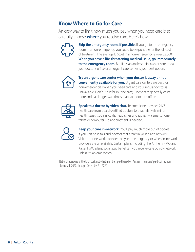#### **Know Where to Go for Care**

An easy way to limit how much you pay when you need care is to carefully choose **where** you receive care. Here's how:



**Skip the emergency room, if possible.** If you go to the emergency room in a non-emergency, you could be responsible for the full cost of treatment. The average ER cost in a non-emergency is over \$2,000!<sup>1</sup> **When you have a life-threatening medical issue, go immediately to the emergency room.** But if it's an ankle sprain, rash or sore throat, your doctor's office or an urgent care center is your best option.



**Try an urgent care center when your doctor is away or not conveniently available for you.** Urgent care centers are best for non-emergencies when you need care and your regular doctor is unavailable. Don't use it for routine care; urgent care generally costs more and has longer wait times than your doctor's office.



**Speak to a doctor by video chat.** Telemedicine provides 24/7 health care from board-certified doctors to treat relatively minor health issues (such as colds, headaches and rashes) via smartphone, tablet or computer. No appointment is needed.



**Keep your care in-network.** You'll pay much more out of pocket if you visit hospitals and doctors that aren't in your plan's network. Visit out-of-network providers only in an emergency or when in-network providers are unavailable. Certain plans, including the Anthem HMO and Kaiser HMO plans, won't pay benefits if you receive care out-of-network, unless it's an emergency.

1 National averages of the total cost, not what members paid based on Anthem members' paid claims, from January 1, 2020, through December 31, 2020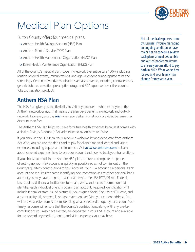

# <span id="page-10-0"></span>Medical Plan Options

Fulton County offers four medical plans:

- Anthem Health Savings Account (HSA) Plan
- Anthem Point of Service (POS) Plan
- o Anthem Health Maintenance Organization (HMO) Plan
- o Kaiser Health Maintenance Organization (HMO) Plan

All of the County's medical plans cover in-network preventive care 100%, including routine physical exams, immunizations, and age- and gender-appropriate tests and screenings. Certain preventive medications are also covered, including contraceptives, generic tobacco cessation prescription drugs and FDA-approved over-the-counter tobacco cessation products.

### **Anthem HSA Plan**

The HSA Plan gives you the flexibility to visit any provider—whether they're in the Anthem network or not. That means the plan pays benefits in-network and out-ofnetwork. However, you pay *less* when you visit an in-network provider, because they discount their fees.

The Anthem HSA Plan helps you save for future health expenses because it comes with a Health Savings Account (HSA), administered by Anthem Act Wise.

If you enroll in the HSA Plan, you'll receive a welcome kit and debit card from Anthem Act Wise. You can use the debit card to pay for eligible medical, dental and vision expenses, including copays and coinsurance. Visit **[actwise.anthem.com](http://actwise.anthem.com)** to learn about covered expenses, how to use your account and how to track your transactions.

If you choose to enroll in the Anthem HSA plan, be sure to complete the process of setting up your HSA account as quickly as possible so as not to miss out on the County's quarterly contributions to your account. Your HSA account is a personal bank account and requires the same identifying documentation as any other personal bank account you may have opened. In accordance with the USA PATRIOT Act, Federal law requires all financial institutions to obtain, verify, and record information that identifies each individual or entity opening an account. Required identification will include federal or state-issued picture ID, your signed Social Security or ITIN card, and a recent utility bill, phone bill, or bank statement verifying your current address. You will receive a letter from Anthem, detailing what is needed to open your account. Your timely response will ensure that the County's contributions, along with any pre-tax contributions you may have elected, are deposited in your HSA account and available for use toward any medical, dental, and vision expenses you may have.

Not all medical expenses come by surprise. If you're managing an ongoing condition or have major health concerns, review each plan's annual deductible and out-of-pocket maximum to ensure you can afford to pay both in 2022. What works best for you and your family may change from year to year.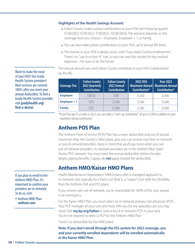#### **Highlights of the Health Savings Account:**

- Fulton County makes pretax contributions to your HSA each financial quarter (1/28/2022; 4/29/2022; 7/29/2022; 10/28/2022). The amount depends on the coverage level you choose—Employee, Employee + 1, or Family.
- You can also make pretax contributions to your HSA, up to annual IRS limits.
- The money in your HSA is always yours, even if you leave County employment. There's no "use-it-or-lose-it" rule, so you can save the money for big medical expenses—for now or for the future.

The annual amount you and Fulton County contribute to your HSA is determined by the IRS:

| <b>Coverage Tier</b> | <b>Fulton County</b><br>2022 Quarterly<br><b>Contribution</b> | <b>Fulton County</b><br>2022 Annual<br><b>Contribution</b> | <b>2022 HSA</b><br>Contribution* | <b>Your 2022</b><br>Maximum Annual   Maximum Annual<br>Contribution* |
|----------------------|---------------------------------------------------------------|------------------------------------------------------------|----------------------------------|----------------------------------------------------------------------|
| <b>Employee</b>      | \$187.50                                                      | \$750                                                      | \$3,650                          | \$2,900                                                              |
| $Employee + 1$       | \$375                                                         | \$1,500                                                    | \$7,300                          | \$5,800                                                              |
| <b>Family</b>        | \$375                                                         | \$1,500                                                    | \$7,300                          | \$5,800                                                              |

\*If you'll be age 55 or older in 2022, you can make a "catch-up contribution" of up to \$1,000 in addition to your maximum annual contribution.

#### **Anthem POS Plan**

The Anthem Point of Service (POS) Plan has a lower deductible and out-of-pocket maximum than the County's other plans, plus you can receive care from in-network or out-of-network providers. Keep in mind that you'll pay more when you see out-of-network providers. In-network providers are in the Anthem Blue Open Access POS network. You must meet the annual deductible before the plan begins paying benefits. Copays do **not** apply toward the deductible.

#### **Anthem HMO/Kaiser HMO Plans**

Health Maintenance Organization (HMO) plans offer a managed approach to in-network care, typically for a fixed cost (that is, a "copay"), but with less flexibility than the Anthem HSA and POS plans.

If you receive care out-of-network, you're responsible for 100% of the cost, except in an emergency.

For the Kaiser HMO Plan, you must select an in-network primary care physician (PCP). Your PCP manages all your care and must refer you for any specialty care you may need. Visit **[my.kp.org/fulton](http://my.kp.org/fulton)** to view a list of in-network PCPs in your area. You're not required to select a PCP for the Anthem HMO Plan.

There's no deductible for the HMO plans.

**Note: If you don't enroll through the ESS system for 2022 coverage, you and your currently enrolled dependents will be enrolled automatically in the Kaiser HMO Plan.**

Want to make the most of your HSA? Use Grady Health System providers! Most services are covered 100% after you meet your annual deductible. To find a Grady Health System provider, visit **[gradyhealth.org/](http://gradyhealth.org/find-a-doctor) [find-a-doctor](http://gradyhealth.org/find-a-doctor)**.

#### If you plan to enroll in the Anthem HMO Plan, it's important to confirm your providers are in-network. To do so, visit:

• Anthem HMO Plan: **[anthem.com](http://anthem.com)**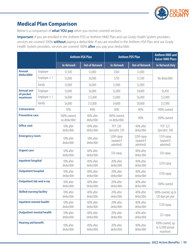

### **Medical Plan Comparison**

Below is a comparison of **what YOU pay** when you receive covered services.

**Important:** If you are enrolled in the Anthem POS or Anthem HMO Plan and use Grady Health System providers, services are covered 100% **without** paying a deductible. If you are enrolled in the Anthem HSA Plan and use Grady Health System providers, services are covered 100% **after** you pay your deductible.

| <b>Anthem HSA Plan</b>          |                | <b>Anthem POS Plan</b>         |                         | <b>Anthem HMO and</b><br><b>Kaiser HMO Plans</b> |                                        |                                                  |
|---------------------------------|----------------|--------------------------------|-------------------------|--------------------------------------------------|----------------------------------------|--------------------------------------------------|
|                                 |                | <b>In-Network</b>              | <b>Out-of-Network</b>   | <b>In-Network</b>                                | <b>Out-of-Network</b>                  | <b>In-Network Only</b>                           |
| <b>Annual</b><br>deductible     | Employee       | \$1,500                        | \$3,000                 | \$500                                            | \$1,000                                |                                                  |
|                                 | $Employee + 1$ | \$3,000                        | \$6,000                 | \$750                                            | \$1,500                                | No deductible                                    |
|                                 | Family         | \$3,000                        | \$6,000                 | \$1,000                                          | \$2,000                                |                                                  |
| <b>Annual out-</b>              | Employee       | \$3,000                        | \$6,000                 | \$2,000                                          | \$4,000                                | \$6,450                                          |
| of-pocket<br>maximum            | $Employee + 1$ | \$6,000                        | \$12,000                | \$3,000                                          | \$6,000                                | \$12,900                                         |
|                                 | Family         | \$6,000                        | \$12,000                | \$4,000                                          | \$8,000                                | \$12,900                                         |
| <b>Coinsurance</b>              |                | 10%                            | 40%                     | 20%                                              | 40%                                    | 100% covered                                     |
| <b>Preventive care</b>          |                | 100% covered,<br>no deductible | 40% after<br>deductible | 100% covered,<br>no deductible                   | 40%                                    | 100% covered                                     |
| <b>Office visit</b>             |                | 10% after<br>deductible        | 40% after<br>deductible | PCP: \$30<br>Specialist: \$50                    | 40% after<br>deductible                | PCP: \$25<br>Specialist: \$40                    |
| <b>Emergency room</b>           |                | 10% after<br>deductible        | 10% after<br>deductible | \$200 copay<br>(waived if<br>admitted)           | \$200 copay<br>(waived if<br>admitted) | \$150 copay<br>(waived if<br>admitted)           |
| <b>Urgent care</b>              |                | 10% after<br>deductible        | 40% after<br>deductible | \$50 copay                                       | 40% after<br>deductible                | \$50 copay                                       |
| <b>Inpatient hospital</b>       |                | 10% after<br>deductible        | 40% after<br>deductible | 20% after<br>deductible                          | 40% after<br>deductible                | \$250 copay                                      |
| <b>Outpatient hospital</b>      |                | 10% after<br>deductible        | 40% after<br>deductible | 20% after<br>deductible                          | 40% after<br>deductible                | \$150 copay                                      |
| <b>Outpatient lab and x-ray</b> |                | 10% after<br>deductible        | 40% after<br>deductible | 20% after<br>deductible                          | 40% after<br>deductible                | 100% covered                                     |
| <b>Skilled nursing facility</b> |                | 10% after<br>deductible        | 40% after<br>deductible | 20% after<br>deductible                          | 40% after<br>deductible                | 100% covered, up to<br>120 days per year         |
| <b>Inpatient mental health</b>  |                | 10% after<br>deductible        | 40% after<br>deductible | 20% after<br>deductible                          | 40% after<br>deductible                | \$120 copay                                      |
| <b>Outpatient mental health</b> |                | 10% after<br>deductible        | 40% after<br>deductible | 20% after<br>deductible                          | 40% after<br>deductible                | \$25 copay                                       |
| <b>Hearing aid benefit</b>      |                | 10% after<br>deductible        | 40% after<br>deductible | 20% after<br>deductible                          | 40% after<br>deductible                | 100% covered, up<br>to \$2,000 annual<br>maximum |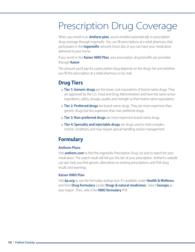# <span id="page-13-0"></span>Prescription Drug Coverage

When you enroll in an **Anthem plan**, you're enrolled automatically in prescription drug coverage through IngenioRx. You can fill prescriptions at a retail pharmacy that participates in the **IngenioRx** network (most do), or you can have your medication delivered to your home.

If you enroll in the **Kaiser HMO Plan**, your prescription drug benefits are provided through **Kaiser**.

The amount you'll pay for a prescription drug depends on the drug's tier and whether you fill the prescription at a retail pharmacy or by mail.

### **Drug Tiers**

- **Tier 1: Generic drugs** are the lower-cost equivalents of brand-name drugs. They are approved by the U.S. Food and Drug Administration and have the same active ingredients, safety, dosage, quality and strength as their brand-name equivalents.
- **Tier 2: Preferred drugs** are brand-name drugs. They are more expensive than generic drugs but less expensive than non-preferred drugs.
- **Tier 3: Non-preferred drugs** are more expensive brand-name drugs.
- **Tier 4: Specialty and injectable drugs** are drugs used to treat complex, chronic conditions and may require special handling and/or management.

### **Formulary**

#### **Anthem Plans**

Visit **[anthem.com](http://anthem.com)** to find the IngenioRx Prescription Drug List and to search for your medication. The search result will tell you the tier of your prescription. Anthem's website can also help you find generic alternatives to existing prescriptions, and FDA drug recalls and warnings.

#### **Kaiser HMO Plan**

Visit **[kp.org](http://kp.org)** to use the formulary lookup tool. It's available under **Health & Wellness** and then **Drug formulary** (under **Drugs & natural medicines**). Select **Georgia** as your region. Then, select the **HMO formulary** PDF.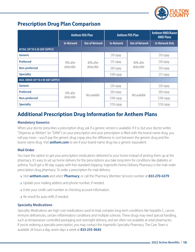

#### **Prescription Drug Plan Comparison**

|                                       | <b>Anthem HSA Plan</b>  |                       | <b>Anthem POS Plan</b> |                         | <b>Anthem HMO/Kaiser</b><br><b>HMO Plans</b> |
|---------------------------------------|-------------------------|-----------------------|------------------------|-------------------------|----------------------------------------------|
|                                       | <b>In-Network</b>       | <b>Out-of-Network</b> | <b>In-Network</b>      | Out-of-Network          | <b>In-Network Only</b>                       |
| <b>RETAIL (UP TO A 30-DAY SUPPLY)</b> |                         |                       |                        |                         |                                              |
| <b>Generic</b>                        |                         |                       | \$10 copay             |                         | \$10 copay                                   |
| <b>Preferred</b>                      | 10% after               | 40% after             | \$35 copay             | 40% after<br>deductible | \$30 copay                                   |
| Non-preferred                         | deductible              | deductible            | \$60 copay             |                         | \$50 copay                                   |
| <b>Specialty</b>                      |                         |                       | \$100 copay            |                         | \$75 copay                                   |
| MAIL ORDER (UP TO A 90-DAY SUPPLY)    |                         |                       |                        |                         |                                              |
| <b>Generic</b>                        |                         |                       | \$20 copay             |                         | \$20 copay                                   |
| <b>Preferred</b>                      | 10% after<br>deductible | Not available         | \$60 copay             |                         | \$60 copay                                   |
| Non-preferred                         |                         |                       | \$100 copay            | Not available           | \$100 copay                                  |
| <b>Specialty</b>                      |                         |                       | \$150 copay            |                         | \$150 copay                                  |

### **Additional Prescription Drug Information for Anthem Plans**

#### **Mandatory Generics**

When your doctor prescribes a prescription drug, ask if a generic version is available. If it is, but your doctor writes "Dispense as Written" (or "DAW") on your prescription and your prescription is filled with the brand-name drug, you will pay more—you'll pay the generic drug copay plus the difference in cost between the generic drug and the brand-name drug. Visit **[anthem.com](http://anthem.com)** to see if your brand-name drug has a generic equivalent.

#### **Mail Order**

You have the option to get your prescription medications delivered to your home instead of picking them up at the pharmacy. It's easy to set up home delivery for the prescriptions you take long-term for conditions like diabetes or asthma. You'll get a 90-day supply with free standard shipping. IngenioRx Home Delivery Pharmacy is the mail-order prescription drug pharmacy. To order a prescription for mail delivery:

- Visit **[anthem.com](http://anthem.com)** and select **Pharmacy**, or call the Pharmacy Member Services number at **833-270-6379**.
- Update your mailing address and phone number, if needed.
- o Enter your credit card number or checking account information.
- o Re-enroll for auto-refill, if needed.

#### **Specialty Medications**

Specialty Medications are high-cost medications used to treat complex long-term conditions like hepatitis C, cancer, immune deficiencies, certain inflammatory conditions and multiple sclerosis. These drugs may need special handling, such as temperature-controlled packaging and overnight delivery, and are often not available at retail pharmacies. If you're ordering a specialty prescription, you may contact the IngenioRx Specialty Pharmacy. The Care Team is available 24 hours a day, seven days a week at **833-255-0645**.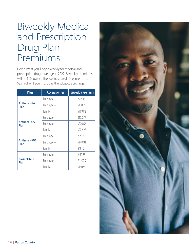### <span id="page-15-0"></span>Biweekly Medical and Prescription Drug Plan Premiums

Here's what you'll pay biweekly for medical and prescription drug coverage in 2022. Biweekly premiums will be \$10 lower if the wellness credit is earned, and \$25 higher if you must pay the tobacco surcharge.

| Plan                      | <b>Coverage Tier</b> | <b>Biweekly Premium</b> |
|---------------------------|----------------------|-------------------------|
|                           | Employee             | \$68.15                 |
| <b>Anthem HSA</b><br>Plan | $Employee + 1$       | \$130.26                |
|                           | Family               | \$169.82                |
|                           | Employee             | \$108.72                |
| <b>Anthem POS</b><br>Plan | $Employee + 1$       | \$200.66                |
|                           | Family               | \$272.28                |
|                           | Employee             | \$76.35                 |
| <b>Anthem HMO</b><br>Plan | $Employee + 1$       | \$140.91                |
|                           | Family               | \$191.21                |
|                           | Employee             | \$60.55                 |
| <b>Kaiser HMO</b><br>Plan | $Employee + 1$       | \$115.75                |
|                           | Family               | \$150.90                |

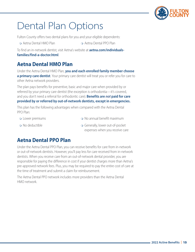

## <span id="page-16-0"></span>Dental Plan Options

Fulton County offers two dental plans for you and your eligible dependents:

- o Aetna Dental HMO Plan  $\alpha$  Aetna Dental PPO Plan
- 

To find an in-network dentist, visit Aetna's website at **[aetna.com/individuals](http://aetna.com/individuals-families/find-a-doctor.html)[families/find-a-doctor.html](http://aetna.com/individuals-families/find-a-doctor.html)**.

#### **Aetna Dental HMO Plan**

Under the Aetna Dental HMO Plan, **you and each enrolled family member choose a primary care dentist**. Your primary care dentist will treat you or refer you for care to other Aetna network providers.

The plan pays benefits for preventive, basic and major care when provided by or referred by your primary care dentist (the exception is orthodontia—it's covered, and you don't need a referral for orthodontic care). **Benefits are** *not* **paid for care provided by or referred by out-of-network dentists, except in emergencies.**

This plan has the following advantages when compared with the Aetna Dental PPO Plan:

- Lower premiums No annual benefit maximum
- No deductible

 Generally, lower out-of-pocket expenses when you receive care

### **Aetna Dental PPO Plan**

Under the Aetna Dental PPO Plan, you can receive benefits for care from in-network or out-of-network dentists. However, you'll pay less for care received from in-network dentists. When you receive care from an out-of-network dental provider, you are responsible for paying the difference in cost if your dentist charges more than Aetna's pre-approved network fees. Plus, you may be required to pay the entire cost of care at the time of treatment and submit a claim for reimbursement.

The Aetna Dental PPO network includes more providers than the Aetna Dental HMO network.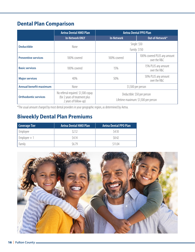### **Dental Plan Comparison**

|                                                                                                                                                              | <b>Aetna Dental HMO Plan</b> |                                      | <b>Aetna Dental PPO Plan</b>                 |
|--------------------------------------------------------------------------------------------------------------------------------------------------------------|------------------------------|--------------------------------------|----------------------------------------------|
|                                                                                                                                                              | <b>In-Network ONLY</b>       | <b>In-Network</b>                    | Out-of-Network*                              |
| <b>Deductible</b>                                                                                                                                            | <b>None</b>                  |                                      | Single: \$50                                 |
|                                                                                                                                                              |                              |                                      | Family: \$150                                |
| <b>Preventive services</b>                                                                                                                                   | 100% covered                 | 100% covered                         | 100% covered PLUS any amount<br>over the R&C |
| <b>Basic services</b>                                                                                                                                        | 100% covered                 | 15%                                  | 15% PLUS any amount<br>over the R&C          |
| <b>Major services</b><br>40%                                                                                                                                 |                              | 50%                                  | 50% PLUS any amount<br>over the R&C          |
| <b>Annual benefit maximum</b>                                                                                                                                | None<br>\$1,500 per person   |                                      |                                              |
| No referral required. \$1,500 copay<br>Deductible: \$50 per person<br>(for 2 years of treatment plus<br><b>Orthodontic services</b><br>2 years of follow-up) |                              | Lifetime maximum: \$1,500 per person |                                              |

\*The usual amount charged by most dental providers in your geographic region, as determined by Aetna.

### **Biweekly Dental Plan Premiums**

| <b>Coverage Tier</b> | <b>Aetna Dental HMO Plan</b> | Aetna Dental PPO Plan |
|----------------------|------------------------------|-----------------------|
| Employee             | \$2.12                       | \$4.10                |
| $Employee+1$         | \$4.14                       | \$8.42                |
| Family               | \$679                        | \$11.04               |

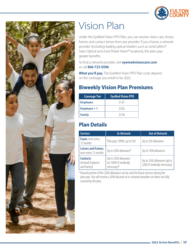

<span id="page-18-0"></span>

### Vision Plan

Under the EyeMed Vision PPO Plan, you can receive vision care, lenses, frames and contact lenses from any provider. If you choose a network provider (including leading optical retailers such as LensCrafters®, Sears Optical and most Pearle Vision® locations), the plan pays greater benefits.

To find a network provider, visit **[eyemedvisioncare.com](http://eyemedvisioncare.com)** or call **866-723-0596**.

**What you'll pay.** The EyeMed Vision PPO Plan costs depend on the coverage you enroll in for 2022.

### **Biweekly Vision Plan Premiums**

| <b>Coverage Tier</b> | <b>EyeMed Vision PPO</b> |
|----------------------|--------------------------|
| <b>Employee</b>      | \$1.47                   |
| <b>Employee + 1</b>  | \$3.02                   |
| <b>Family</b>        | \$3.96                   |

### **Plan Details**

| <b>Services</b>                                       | <b>In-Network</b>                                                | <b>Out-of-Network</b>                                         |  |
|-------------------------------------------------------|------------------------------------------------------------------|---------------------------------------------------------------|--|
| <b>Exam</b> , once every<br>12 months                 | Plan pays 100%, up to \$50                                       | Up to \$50 allowance                                          |  |
| Lenses and frames,<br>once every 12 months            | Up to \$200 allowance*                                           | Up to \$100 allowance                                         |  |
| <b>Contacts</b><br>(instead of glasses<br>and frames) | Up to \$200 allowance<br>(or 100% if medically<br>$necessary)$ * | Up to \$160 allowance (up to<br>\$200 if medically necessary) |  |

\*Unused portion of the \$200 allowance can be used for future services during the plan year. You will receive a 20% discount at in-network providers on items not fully covered by the plan.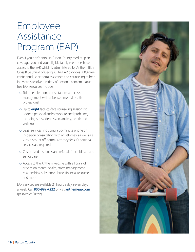# <span id="page-19-0"></span>Employee Assistance Program (EAP)

Even if you don't enroll in Fulton County medical plan coverage, you and your eligible family members have access to the EAP, which is administered by Anthem Blue Cross Blue Shield of Georgia. The EAP provides 100% free, confidential, short-term assistance and counseling to help individuals resolve a variety of personal concerns. Your free EAP resources include:

- Toll-free telephone consultations and crisis management with a licensed mental health professional
- Up to **eight** face-to-face counseling sessions to address personal and/or work-related problems, including stress, depression, anxiety, health and wellness
- Legal services, including a 30-minute phone or in-person consultation with an attorney, as well as a 25% discount off normal attorney fees if additional services are required
- Customized resources and referrals for child care and senior care
- Access to the Anthem website with a library of articles on mental health, stress management, relationships, substance abuse, financial resources and more

EAP services are available 24 hours a day, seven days a week. Call **800-999-7222** or visit **[anthemeap.com](http://anthemeap.com)** (password: Fulton).

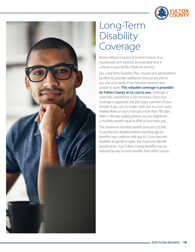

<span id="page-20-0"></span>

### Long-Term **Disability** Coverage

Being without a source of income if you're ill or injured and can't work for an extended time is a threat to your family's financial security.

Our Long-Term Disability Plan, insured and administered by MetLife, provides additional financial security to you and your family if you become disabled and unable to work. **This valuable coverage is provided by Fulton County at no cost to you.** Coverage is automatic; enrollment is not necessary. Once your coverage is approved, the plan pays a portion of your income if you can no longer work due to a non-workrelated illness or injury that lasts more than 180 days. After a 180-day waiting period, you are eligible for a monthly benefit equal to 60% of your base pay.

The maximum monthly benefit amount is \$5,000. If you become disabled before reaching age 60, benefits may continue until age 65. If you become disabled at age 60 or older, the maximum benefit period varies. Your Fulton County benefits may be reduced by any income benefits from other sources.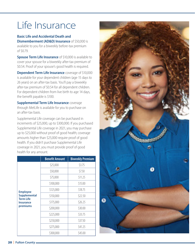# <span id="page-21-0"></span>Life Insurance

**Basic Life and Accidental Death and Dismemberment (AD&D) Insurance** of \$50,000 is available to you for a biweekly before-tax premium of \$0.79.

**Spouse Term Life Insurance** of \$10,000 is available to cover your spouse for a biweekly after-tax premium of \$0.54. Proof of your spouse's good health is required.

**Dependent Term Life Insurance** coverage of \$10,000 is available for your dependent children (age 15 days to 26 years) on an after-tax basis. You'll pay a biweekly after-tax premium of \$0.54 for all dependent children. For dependent children from live birth to age 14 days, the benefit payable is \$100.

**Supplemental Term Life Insurance** coverage through MetLife is available for you to purchase on an after-tax basis.

Supplemental Life coverage can be purchased in increments of \$25,000, up to \$300,000. If you purchased Supplemental Life coverage in 2021, you may purchase up to \$25,000 without proof of good health; coverage amounts higher than \$25,000 require proof of good health. If you didn't purchase Supplemental Life coverage in 2021, you must provide proof of good health for any amount.

|                                                                                            | <b>Benefit Amount</b> | <b>Biweekly Premium</b> |
|--------------------------------------------------------------------------------------------|-----------------------|-------------------------|
| <b>Employee</b><br><b>Supplemental</b><br><b>Term Life</b><br><b>Insurance</b><br>premiums | \$25,000              | \$3.75                  |
|                                                                                            | \$50,000              | \$7.50                  |
|                                                                                            | \$75,000              | \$11.25                 |
|                                                                                            | \$100,000             | \$15.00                 |
|                                                                                            | \$125,000             | \$18.75                 |
|                                                                                            | \$150,000             | \$22.50                 |
|                                                                                            | \$175,000             | \$26.25                 |
|                                                                                            | \$200,000             | \$30.00                 |
|                                                                                            | \$225,000             | \$33.75                 |
|                                                                                            | \$250,000             | \$37.50                 |
|                                                                                            | \$275,000             | \$41.25                 |
|                                                                                            | \$300,000             | \$45.00                 |

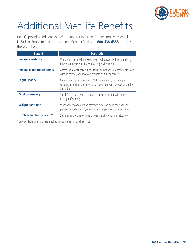

# <span id="page-22-0"></span>Additional MetLife Benefits

MetLife provides additional benefits at no cost to Fulton County employees enrolled in Basic or Supplemental Life Insurance. Contact MetLife at **800-438-6388** to access these services.

| <b>Benefit</b>                     | <b>Description</b>                                                                                                                                       |  |
|------------------------------------|----------------------------------------------------------------------------------------------------------------------------------------------------------|--|
| <b>Funeral assistance</b>          | Work with compassionate counselors who assist with personalizing<br>funeral arrangements in a comforting environment.                                    |  |
| <b>Funeral planning/discounts</b>  | Access the largest network of funeral homes and cemeteries, pre-plan<br>with an advisor, and receive discounts on funeral services.                      |  |
| <b>Digital legacy</b>              | Create your digital legacy with MetLife Infinity by capturing and<br>securing important documents like deeds and wills, as well as photos<br>and videos. |  |
| <b>Grief counseling</b>            | Speak face to face with a licensed counselor to cope with a loss<br>or major life change.                                                                |  |
| <b>Will preparation*</b>           | Work one-on-one with an attorney in person or on the phone to<br>prepare or update a will, or access will preparation services online.                   |  |
| <b>Estate resolution services*</b> | Settle an estate one-on-one or over the phone with an attorney.                                                                                          |  |

\*Only available to employees enrolled in Supplemental Life Insurance